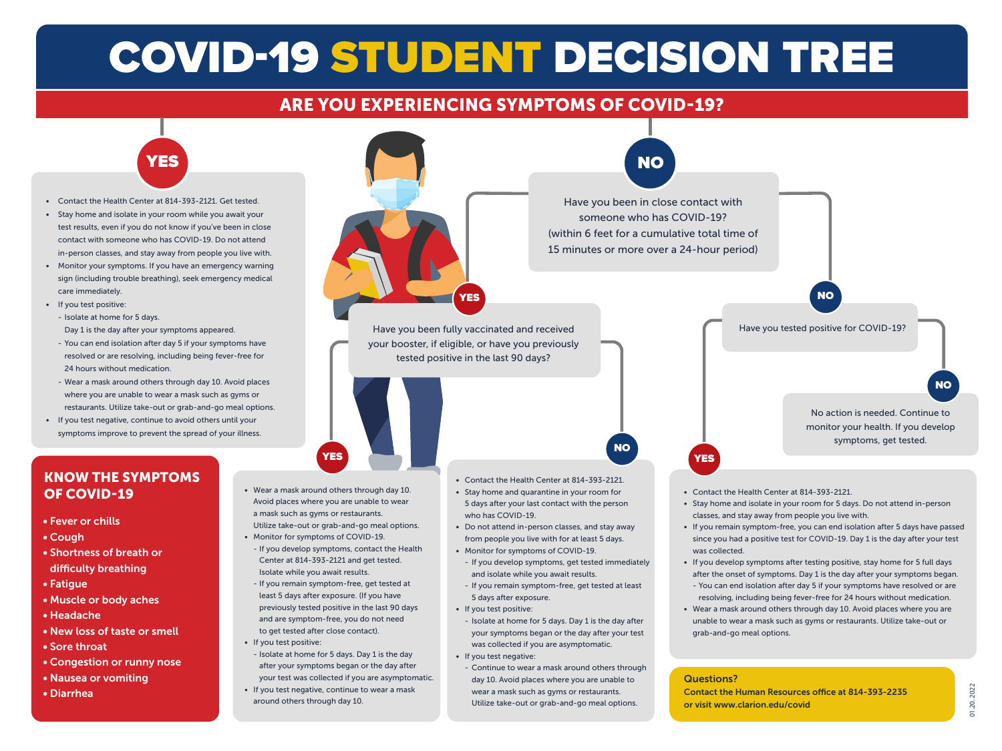# COVID-19 STUDENT DECISION TREE

## ARE YOU EXPERIENCING SYMPTOMS OF COVID-19?



- Contact the Health Center at 814-393-2121. Get tested.
- Stay home and isolate in your room while you await your test results, even if you do not know if you've been in close contact with someone who has COVID-19. Do not attend in-person classes, and stay away from people you live with.
- Monitor your symptoms. If you have an emergency warning sign (including trouble breathing), seek emergency medical care immediately.
- If you test positive:
	- Isolate at home for 5 days.
	- Day 1 is the day after your symptoms appeared.
	- You can end isolation after day 5 if your symptoms have resolved or are resolving, including being fever-free for 24 hours without medication.
	- Wear a mask around others through day 10. Avoid places where you are unable to wear a mask such as gyms or restaurants. Utilize take-out or grab-and-go meal options.
- If you test negative, continue to avoid others until your symptoms improve to prevent the spread of your illness.

### KNOW THE SYMPTOMS OF COVID-19

- Fever or chills
- Cough
- Shortness of breath or difficulty breathing
- Fatigue
- Muscle or body aches
- Headache
- New loss of taste or smell
- Sore throat
- Congestion or runny nose
- Nausea or vomiting
- Diarrhea
- Wear a mask around others through day 10. Avoid places where you are unable to wear a mask such as gyms or restaurants.
- Utilize take-out or grab-and-go meal options. • Monitor for symptoms of COVID-19.
- If you develop symptoms, contact the Health Center at 814-393-2121 and get tested. Isolate while you await results.
- If you remain symptom-free, get tested at least 5 days after exposure. (If you have previously tested positive in the last 90 days and are symptom-free, you do not need to get tested after close contact).
- If you test positive:
	- Isolate at home for 5 days. Day 1 is the day after your symptoms began or the day after
	- your test was collected if you are asymptomatic. • If you test negative, continue to wear a mask around others through day 10.



- Isolate at home for 5 days. Day 1 is the day after your symptoms began or the day after your test

- Continue to wear a mask around others through day 10. Avoid places where you are unable to wear a mask such as gyms or restaurants. Utilize take-out or grab-and-go meal options.

was collected if you are asymptomatic.

• If you test negative:

• Wear a mask around others through day 10. Avoid places where you are unable to wear a mask such as gyms or restaurants. Utilize take-out or grab-and-go meal options.

#### Questions?

Contact the Human Resources office at 814-393-2235 or visit www.clarion.edu/covid